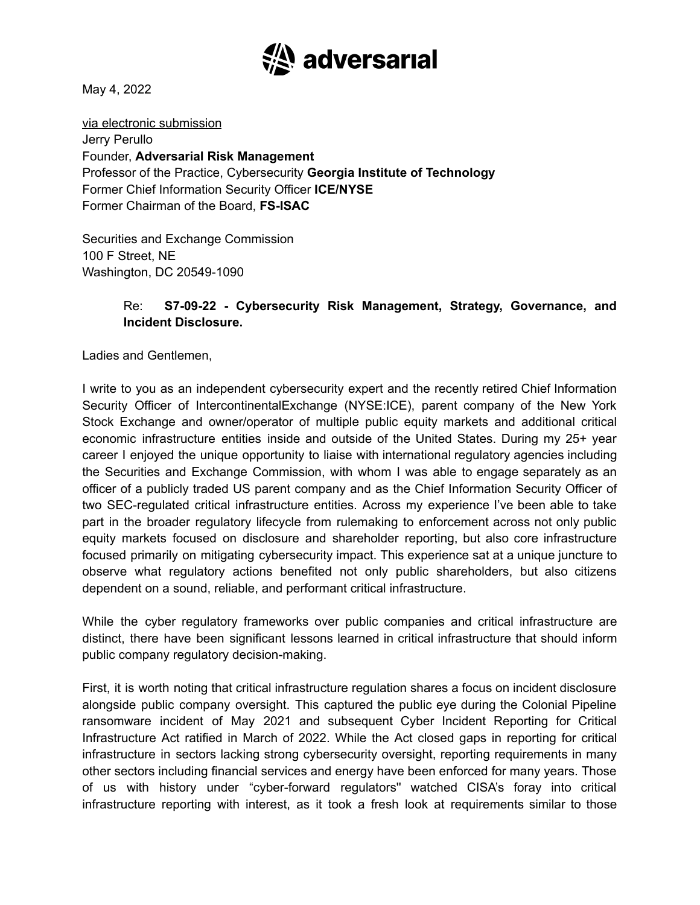

May 4, 2022

via electronic submission Jerry Perullo Founder, **Adversarial Risk Management** Professor of the Practice, Cybersecurity **Georgia Institute of Technology** Former Chief Information Security Officer **ICE/NYSE** Former Chairman of the Board, **FS-ISAC**

Securities and Exchange Commission 100 F Street, NE Washington, DC 20549-1090

#### Re: **S7-09-22 - Cybersecurity Risk Management, Strategy, Governance, and Incident Disclosure.**

Ladies and Gentlemen,

I write to you as an independent cybersecurity expert and the recently retired Chief Information Security Officer of IntercontinentalExchange (NYSE:ICE), parent company of the New York Stock Exchange and owner/operator of multiple public equity markets and additional critical economic infrastructure entities inside and outside of the United States. During my 25+ year career I enjoyed the unique opportunity to liaise with international regulatory agencies including the Securities and Exchange Commission, with whom I was able to engage separately as an officer of a publicly traded US parent company and as the Chief Information Security Officer of two SEC-regulated critical infrastructure entities. Across my experience I've been able to take part in the broader regulatory lifecycle from rulemaking to enforcement across not only public equity markets focused on disclosure and shareholder reporting, but also core infrastructure focused primarily on mitigating cybersecurity impact. This experience sat at a unique juncture to observe what regulatory actions benefited not only public shareholders, but also citizens dependent on a sound, reliable, and performant critical infrastructure.

While the cyber regulatory frameworks over public companies and critical infrastructure are distinct, there have been significant lessons learned in critical infrastructure that should inform public company regulatory decision-making.

First, it is worth noting that critical infrastructure regulation shares a focus on incident disclosure alongside public company oversight. This captured the public eye during the Colonial Pipeline ransomware incident of May 2021 and subsequent Cyber Incident Reporting for Critical Infrastructure Act ratified in March of 2022. While the Act closed gaps in reporting for critical infrastructure in sectors lacking strong cybersecurity oversight, reporting requirements in many other sectors including financial services and energy have been enforced for many years. Those of us with history under "cyber-forward regulators'' watched CISA's foray into critical infrastructure reporting with interest, as it took a fresh look at requirements similar to those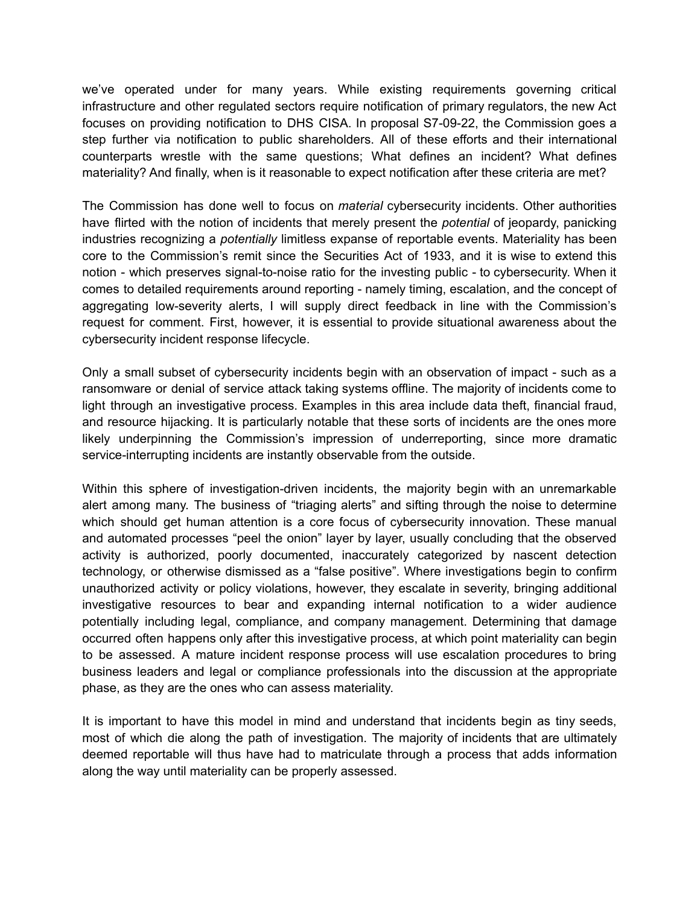we've operated under for many years. While existing requirements governing critical infrastructure and other regulated sectors require notification of primary regulators, the new Act focuses on providing notification to DHS CISA. In proposal S7-09-22, the Commission goes a step further via notification to public shareholders. All of these efforts and their international counterparts wrestle with the same questions; What defines an incident? What defines materiality? And finally, when is it reasonable to expect notification after these criteria are met?

The Commission has done well to focus on *material* cybersecurity incidents. Other authorities have flirted with the notion of incidents that merely present the *potential* of jeopardy, panicking industries recognizing a *potentially* limitless expanse of reportable events. Materiality has been core to the Commission's remit since the Securities Act of 1933, and it is wise to extend this notion - which preserves signal-to-noise ratio for the investing public - to cybersecurity. When it comes to detailed requirements around reporting - namely timing, escalation, and the concept of aggregating low-severity alerts, I will supply direct feedback in line with the Commission's request for comment. First, however, it is essential to provide situational awareness about the cybersecurity incident response lifecycle.

Only a small subset of cybersecurity incidents begin with an observation of impact - such as a ransomware or denial of service attack taking systems offline. The majority of incidents come to light through an investigative process. Examples in this area include data theft, financial fraud, and resource hijacking. It is particularly notable that these sorts of incidents are the ones more likely underpinning the Commission's impression of underreporting, since more dramatic service-interrupting incidents are instantly observable from the outside.

Within this sphere of investigation-driven incidents, the majority begin with an unremarkable alert among many. The business of "triaging alerts" and sifting through the noise to determine which should get human attention is a core focus of cybersecurity innovation. These manual and automated processes "peel the onion" layer by layer, usually concluding that the observed activity is authorized, poorly documented, inaccurately categorized by nascent detection technology, or otherwise dismissed as a "false positive". Where investigations begin to confirm unauthorized activity or policy violations, however, they escalate in severity, bringing additional investigative resources to bear and expanding internal notification to a wider audience potentially including legal, compliance, and company management. Determining that damage occurred often happens only after this investigative process, at which point materiality can begin to be assessed. A mature incident response process will use escalation procedures to bring business leaders and legal or compliance professionals into the discussion at the appropriate phase, as they are the ones who can assess materiality.

It is important to have this model in mind and understand that incidents begin as tiny seeds, most of which die along the path of investigation. The majority of incidents that are ultimately deemed reportable will thus have had to matriculate through a process that adds information along the way until materiality can be properly assessed.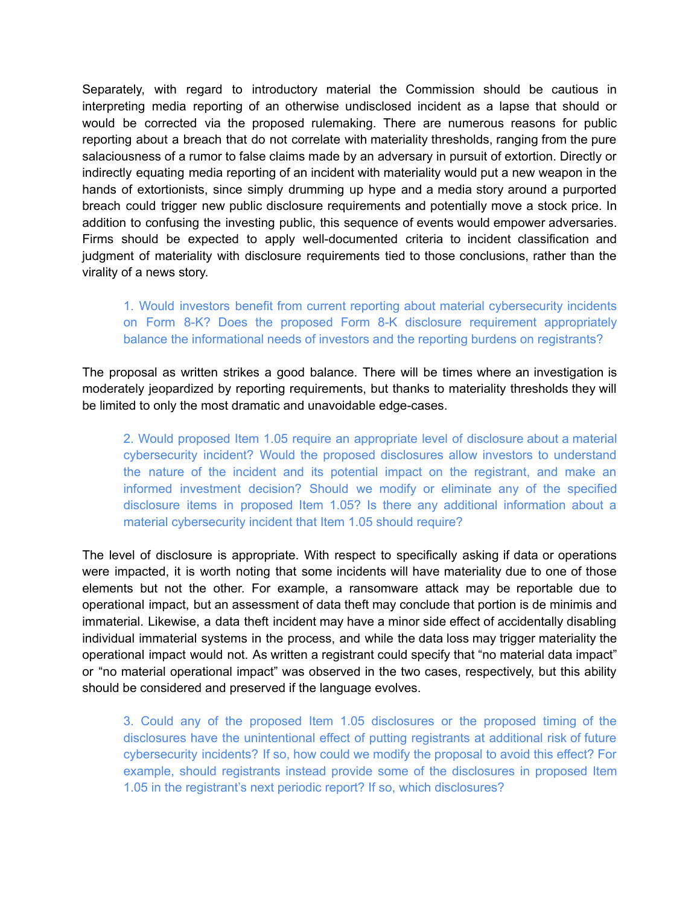Separately, with regard to introductory material the Commission should be cautious in interpreting media reporting of an otherwise undisclosed incident as a lapse that should or would be corrected via the proposed rulemaking. There are numerous reasons for public reporting about a breach that do not correlate with materiality thresholds, ranging from the pure salaciousness of a rumor to false claims made by an adversary in pursuit of extortion. Directly or indirectly equating media reporting of an incident with materiality would put a new weapon in the hands of extortionists, since simply drumming up hype and a media story around a purported breach could trigger new public disclosure requirements and potentially move a stock price. In addition to confusing the investing public, this sequence of events would empower adversaries. Firms should be expected to apply well-documented criteria to incident classification and judgment of materiality with disclosure requirements tied to those conclusions, rather than the virality of a news story.

# 1. Would investors benefit from current reporting about material cybersecurity incidents on Form 8-K? Does the proposed Form 8-K disclosure requirement appropriately balance the informational needs of investors and the reporting burdens on registrants?

The proposal as written strikes a good balance. There will be times where an investigation is moderately jeopardized by reporting requirements, but thanks to materiality thresholds they will be limited to only the most dramatic and unavoidable edge-cases.

2. Would proposed Item 1.05 require an appropriate level of disclosure about a material cybersecurity incident? Would the proposed disclosures allow investors to understand the nature of the incident and its potential impact on the registrant, and make an informed investment decision? Should we modify or eliminate any of the specified disclosure items in proposed Item 1.05? Is there any additional information about a material cybersecurity incident that Item 1.05 should require?

The level of disclosure is appropriate. With respect to specifically asking if data or operations were impacted, it is worth noting that some incidents will have materiality due to one of those elements but not the other. For example, a ransomware attack may be reportable due to operational impact, but an assessment of data theft may conclude that portion is de minimis and immaterial. Likewise, a data theft incident may have a minor side effect of accidentally disabling individual immaterial systems in the process, and while the data loss may trigger materiality the operational impact would not. As written a registrant could specify that "no material data impact" or "no material operational impact" was observed in the two cases, respectively, but this ability should be considered and preserved if the language evolves.

3. Could any of the proposed Item 1.05 disclosures or the proposed timing of the disclosures have the unintentional effect of putting registrants at additional risk of future cybersecurity incidents? If so, how could we modify the proposal to avoid this effect? For example, should registrants instead provide some of the disclosures in proposed Item 1.05 in the registrant's next periodic report? If so, which disclosures?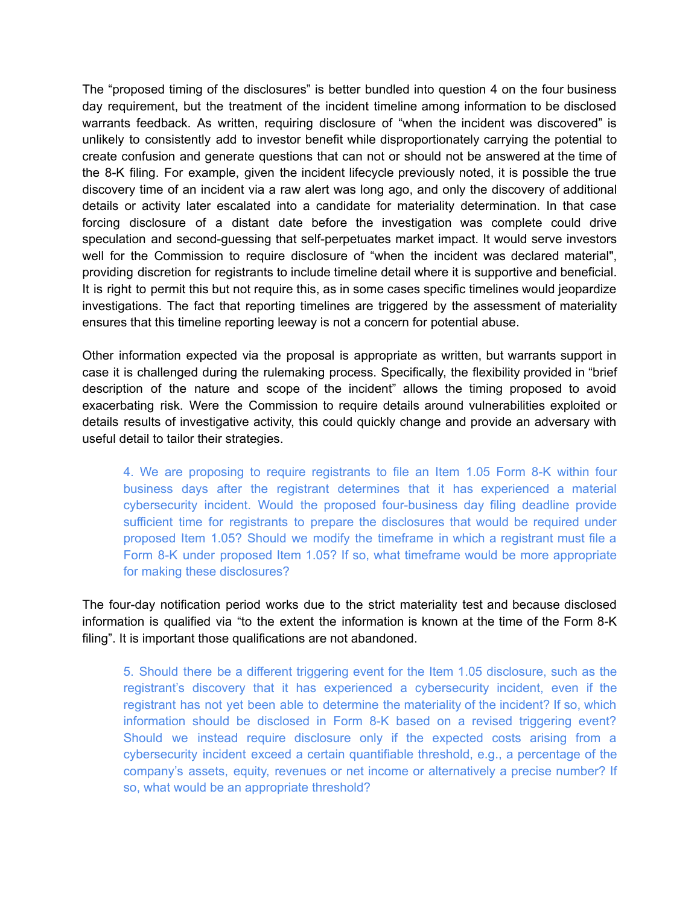The "proposed timing of the disclosures" is better bundled into question 4 on the four business day requirement, but the treatment of the incident timeline among information to be disclosed warrants feedback. As written, requiring disclosure of "when the incident was discovered" is unlikely to consistently add to investor benefit while disproportionately carrying the potential to create confusion and generate questions that can not or should not be answered at the time of the 8-K filing. For example, given the incident lifecycle previously noted, it is possible the true discovery time of an incident via a raw alert was long ago, and only the discovery of additional details or activity later escalated into a candidate for materiality determination. In that case forcing disclosure of a distant date before the investigation was complete could drive speculation and second-guessing that self-perpetuates market impact. It would serve investors well for the Commission to require disclosure of "when the incident was declared material", providing discretion for registrants to include timeline detail where it is supportive and beneficial. It is right to permit this but not require this, as in some cases specific timelines would jeopardize investigations. The fact that reporting timelines are triggered by the assessment of materiality ensures that this timeline reporting leeway is not a concern for potential abuse.

Other information expected via the proposal is appropriate as written, but warrants support in case it is challenged during the rulemaking process. Specifically, the flexibility provided in "brief description of the nature and scope of the incident" allows the timing proposed to avoid exacerbating risk. Were the Commission to require details around vulnerabilities exploited or details results of investigative activity, this could quickly change and provide an adversary with useful detail to tailor their strategies.

4. We are proposing to require registrants to file an Item 1.05 Form 8-K within four business days after the registrant determines that it has experienced a material cybersecurity incident. Would the proposed four-business day filing deadline provide sufficient time for registrants to prepare the disclosures that would be required under proposed Item 1.05? Should we modify the timeframe in which a registrant must file a Form 8-K under proposed Item 1.05? If so, what timeframe would be more appropriate for making these disclosures?

The four-day notification period works due to the strict materiality test and because disclosed information is qualified via "to the extent the information is known at the time of the Form 8-K filing". It is important those qualifications are not abandoned.

5. Should there be a different triggering event for the Item 1.05 disclosure, such as the registrant's discovery that it has experienced a cybersecurity incident, even if the registrant has not yet been able to determine the materiality of the incident? If so, which information should be disclosed in Form 8-K based on a revised triggering event? Should we instead require disclosure only if the expected costs arising from a cybersecurity incident exceed a certain quantifiable threshold, e.g., a percentage of the company's assets, equity, revenues or net income or alternatively a precise number? If so, what would be an appropriate threshold?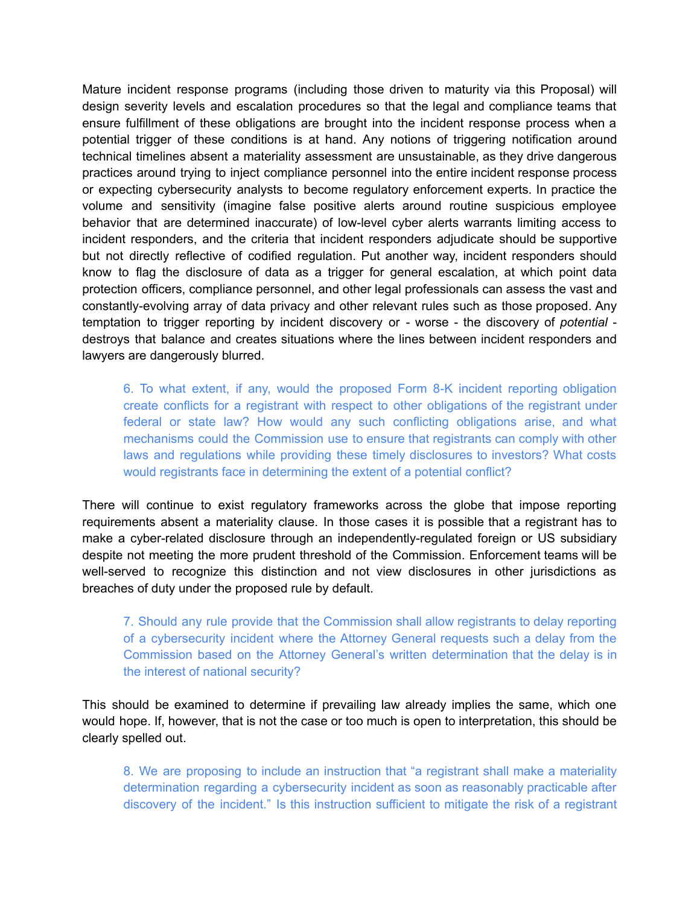Mature incident response programs (including those driven to maturity via this Proposal) will design severity levels and escalation procedures so that the legal and compliance teams that ensure fulfillment of these obligations are brought into the incident response process when a potential trigger of these conditions is at hand. Any notions of triggering notification around technical timelines absent a materiality assessment are unsustainable, as they drive dangerous practices around trying to inject compliance personnel into the entire incident response process or expecting cybersecurity analysts to become regulatory enforcement experts. In practice the volume and sensitivity (imagine false positive alerts around routine suspicious employee behavior that are determined inaccurate) of low-level cyber alerts warrants limiting access to incident responders, and the criteria that incident responders adjudicate should be supportive but not directly reflective of codified regulation. Put another way, incident responders should know to flag the disclosure of data as a trigger for general escalation, at which point data protection officers, compliance personnel, and other legal professionals can assess the vast and constantly-evolving array of data privacy and other relevant rules such as those proposed. Any temptation to trigger reporting by incident discovery or - worse - the discovery of *potential* destroys that balance and creates situations where the lines between incident responders and lawyers are dangerously blurred.

6. To what extent, if any, would the proposed Form 8-K incident reporting obligation create conflicts for a registrant with respect to other obligations of the registrant under federal or state law? How would any such conflicting obligations arise, and what mechanisms could the Commission use to ensure that registrants can comply with other laws and regulations while providing these timely disclosures to investors? What costs would registrants face in determining the extent of a potential conflict?

There will continue to exist regulatory frameworks across the globe that impose reporting requirements absent a materiality clause. In those cases it is possible that a registrant has to make a cyber-related disclosure through an independently-regulated foreign or US subsidiary despite not meeting the more prudent threshold of the Commission. Enforcement teams will be well-served to recognize this distinction and not view disclosures in other jurisdictions as breaches of duty under the proposed rule by default.

7. Should any rule provide that the Commission shall allow registrants to delay reporting of a cybersecurity incident where the Attorney General requests such a delay from the Commission based on the Attorney General's written determination that the delay is in the interest of national security?

This should be examined to determine if prevailing law already implies the same, which one would hope. If, however, that is not the case or too much is open to interpretation, this should be clearly spelled out.

8. We are proposing to include an instruction that "a registrant shall make a materiality determination regarding a cybersecurity incident as soon as reasonably practicable after discovery of the incident." Is this instruction sufficient to mitigate the risk of a registrant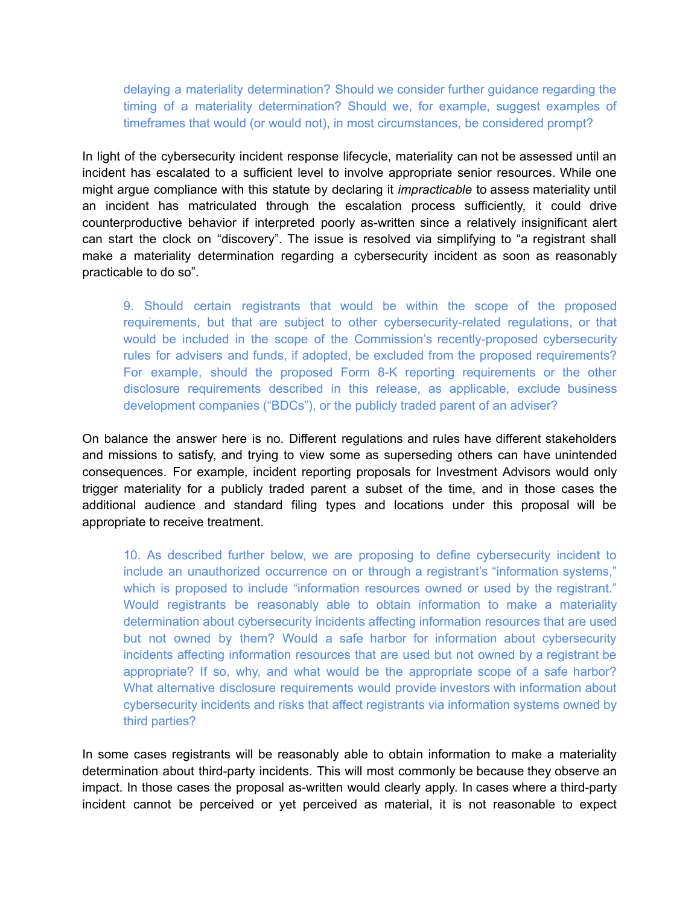delaying a materiality determination? Should we consider further guidance regarding the timing of a materiality determination? Should we, for example, suggest examples of timeframes that would (or would not), in most circumstances, be considered prompt?

In light of the cybersecurity incident response lifecycle, materiality can not be assessed until an incident has escalated to a sufficient level to involve appropriate senior resources. While one might argue compliance with this statute by declaring it *impracticable* to assess materiality until an incident has matriculated through the escalation process sufficiently, it could drive counterproductive behavior if interpreted poorly as-written since a relatively insignificant alert can start the clock on "discovery". The issue is resolved via simplifying to "a registrant shall make a materiality determination regarding a cybersecurity incident as soon as reasonably practicable to do so".

9. Should certain registrants that would be within the scope of the proposed requirements, but that are subject to other cybersecurity-related regulations, or that would be included in the scope of the Commission's recently-proposed cybersecurity rules for advisers and funds, if adopted, be excluded from the proposed requirements? For example, should the proposed Form 8-K reporting requirements or the other disclosure requirements described in this release, as applicable, exclude business development companies ("BDCs"), or the publicly traded parent of an adviser?

On balance the answer here is no. Different regulations and rules have different stakeholders and missions to satisfy, and trying to view some as superseding others can have unintended consequences. For example, incident reporting proposals for Investment Advisors would only trigger materiality for a publicly traded parent a subset of the time, and in those cases the additional audience and standard filing types and locations under this proposal will be appropriate to receive treatment.

10. As described further below, we are proposing to define cybersecurity incident to include an unauthorized occurrence on or through a registrant's "information systems," which is proposed to include "information resources owned or used by the registrant." Would registrants be reasonably able to obtain information to make a materiality determination about cybersecurity incidents affecting information resources that are used but not owned by them? Would a safe harbor for information about cybersecurity incidents affecting information resources that are used but not owned by a registrant be appropriate? If so, why, and what would be the appropriate scope of a safe harbor? What alternative disclosure requirements would provide investors with information about cybersecurity incidents and risks that affect registrants via information systems owned by third parties?

In some cases registrants will be reasonably able to obtain information to make a materiality determination about third-party incidents. This will most commonly be because they observe an impact. In those cases the proposal as-written would clearly apply. In cases where a third-party incident cannot be perceived or yet perceived as material, it is not reasonable to expect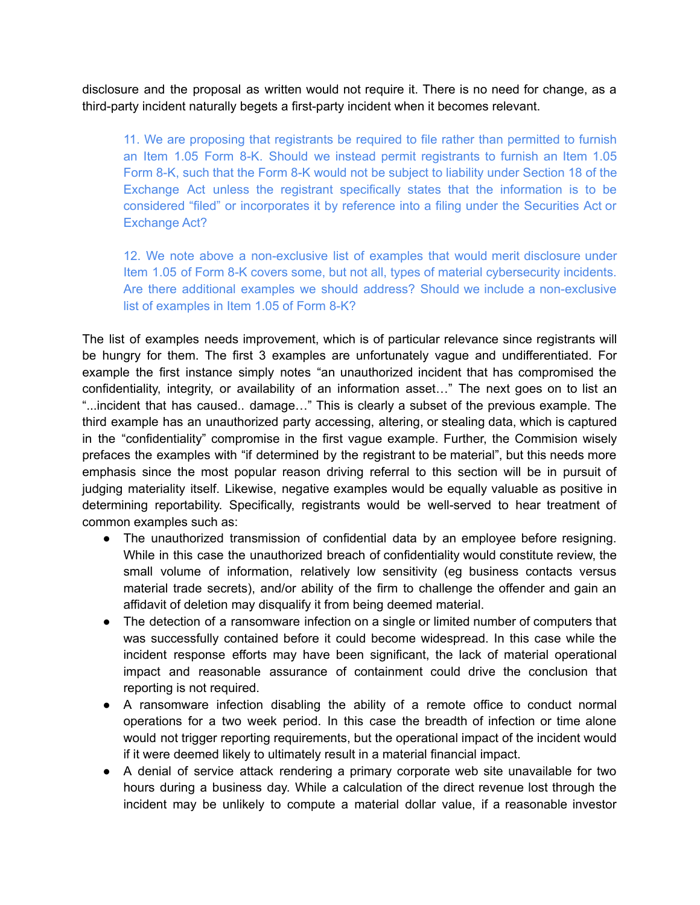disclosure and the proposal as written would not require it. There is no need for change, as a third-party incident naturally begets a first-party incident when it becomes relevant.

11. We are proposing that registrants be required to file rather than permitted to furnish an Item 1.05 Form 8-K. Should we instead permit registrants to furnish an Item 1.05 Form 8-K, such that the Form 8-K would not be subject to liability under Section 18 of the Exchange Act unless the registrant specifically states that the information is to be considered "filed" or incorporates it by reference into a filing under the Securities Act or Exchange Act?

12. We note above a non-exclusive list of examples that would merit disclosure under Item 1.05 of Form 8-K covers some, but not all, types of material cybersecurity incidents. Are there additional examples we should address? Should we include a non-exclusive list of examples in Item 1.05 of Form 8-K?

The list of examples needs improvement, which is of particular relevance since registrants will be hungry for them. The first 3 examples are unfortunately vague and undifferentiated. For example the first instance simply notes "an unauthorized incident that has compromised the confidentiality, integrity, or availability of an information asset…" The next goes on to list an "...incident that has caused.. damage…" This is clearly a subset of the previous example. The third example has an unauthorized party accessing, altering, or stealing data, which is captured in the "confidentiality" compromise in the first vague example. Further, the Commision wisely prefaces the examples with "if determined by the registrant to be material", but this needs more emphasis since the most popular reason driving referral to this section will be in pursuit of judging materiality itself. Likewise, negative examples would be equally valuable as positive in determining reportability. Specifically, registrants would be well-served to hear treatment of common examples such as:

- The unauthorized transmission of confidential data by an employee before resigning. While in this case the unauthorized breach of confidentiality would constitute review, the small volume of information, relatively low sensitivity (eg business contacts versus material trade secrets), and/or ability of the firm to challenge the offender and gain an affidavit of deletion may disqualify it from being deemed material.
- The detection of a ransomware infection on a single or limited number of computers that was successfully contained before it could become widespread. In this case while the incident response efforts may have been significant, the lack of material operational impact and reasonable assurance of containment could drive the conclusion that reporting is not required.
- A ransomware infection disabling the ability of a remote office to conduct normal operations for a two week period. In this case the breadth of infection or time alone would not trigger reporting requirements, but the operational impact of the incident would if it were deemed likely to ultimately result in a material financial impact.
- A denial of service attack rendering a primary corporate web site unavailable for two hours during a business day. While a calculation of the direct revenue lost through the incident may be unlikely to compute a material dollar value, if a reasonable investor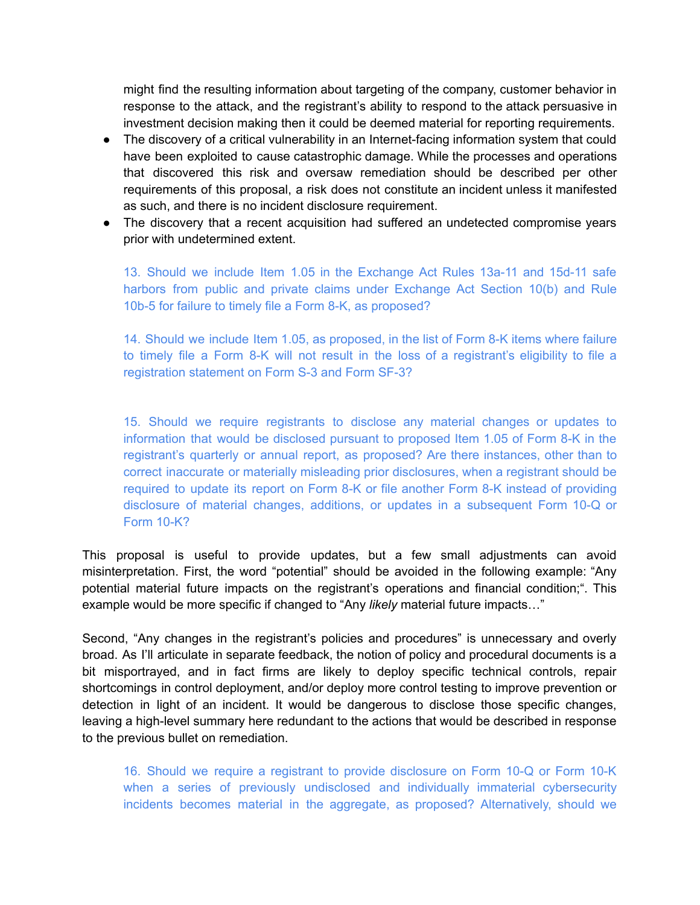might find the resulting information about targeting of the company, customer behavior in response to the attack, and the registrant's ability to respond to the attack persuasive in investment decision making then it could be deemed material for reporting requirements.

- The discovery of a critical vulnerability in an Internet-facing information system that could have been exploited to cause catastrophic damage. While the processes and operations that discovered this risk and oversaw remediation should be described per other requirements of this proposal, a risk does not constitute an incident unless it manifested as such, and there is no incident disclosure requirement.
- The discovery that a recent acquisition had suffered an undetected compromise years prior with undetermined extent.

13. Should we include Item 1.05 in the Exchange Act Rules 13a-11 and 15d-11 safe harbors from public and private claims under Exchange Act Section 10(b) and Rule 10b-5 for failure to timely file a Form 8-K, as proposed?

14. Should we include Item 1.05, as proposed, in the list of Form 8-K items where failure to timely file a Form 8-K will not result in the loss of a registrant's eligibility to file a registration statement on Form S-3 and Form SF-3?

15. Should we require registrants to disclose any material changes or updates to information that would be disclosed pursuant to proposed Item 1.05 of Form 8-K in the registrant's quarterly or annual report, as proposed? Are there instances, other than to correct inaccurate or materially misleading prior disclosures, when a registrant should be required to update its report on Form 8-K or file another Form 8-K instead of providing disclosure of material changes, additions, or updates in a subsequent Form 10-Q or Form 10-K?

This proposal is useful to provide updates, but a few small adjustments can avoid misinterpretation. First, the word "potential" should be avoided in the following example: "Any potential material future impacts on the registrant's operations and financial condition;". This example would be more specific if changed to "Any *likely* material future impacts…"

Second, "Any changes in the registrant's policies and procedures" is unnecessary and overly broad. As I'll articulate in separate feedback, the notion of policy and procedural documents is a bit misportrayed, and in fact firms are likely to deploy specific technical controls, repair shortcomings in control deployment, and/or deploy more control testing to improve prevention or detection in light of an incident. It would be dangerous to disclose those specific changes, leaving a high-level summary here redundant to the actions that would be described in response to the previous bullet on remediation.

16. Should we require a registrant to provide disclosure on Form 10-Q or Form 10-K when a series of previously undisclosed and individually immaterial cybersecurity incidents becomes material in the aggregate, as proposed? Alternatively, should we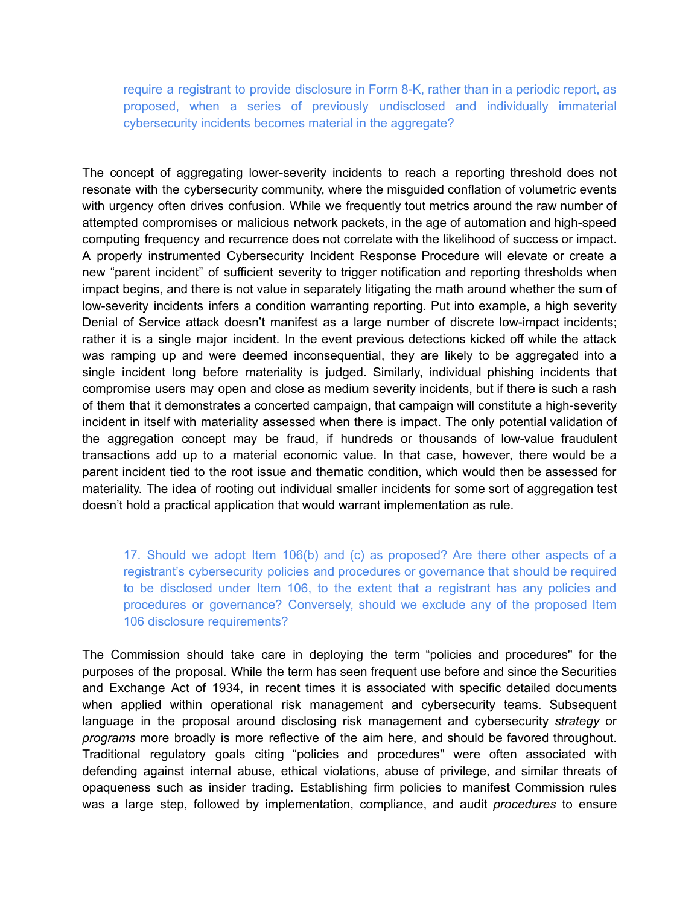require a registrant to provide disclosure in Form 8-K, rather than in a periodic report, as proposed, when a series of previously undisclosed and individually immaterial cybersecurity incidents becomes material in the aggregate?

The concept of aggregating lower-severity incidents to reach a reporting threshold does not resonate with the cybersecurity community, where the misguided conflation of volumetric events with urgency often drives confusion. While we frequently tout metrics around the raw number of attempted compromises or malicious network packets, in the age of automation and high-speed computing frequency and recurrence does not correlate with the likelihood of success or impact. A properly instrumented Cybersecurity Incident Response Procedure will elevate or create a new "parent incident" of sufficient severity to trigger notification and reporting thresholds when impact begins, and there is not value in separately litigating the math around whether the sum of low-severity incidents infers a condition warranting reporting. Put into example, a high severity Denial of Service attack doesn't manifest as a large number of discrete low-impact incidents; rather it is a single major incident. In the event previous detections kicked off while the attack was ramping up and were deemed inconsequential, they are likely to be aggregated into a single incident long before materiality is judged. Similarly, individual phishing incidents that compromise users may open and close as medium severity incidents, but if there is such a rash of them that it demonstrates a concerted campaign, that campaign will constitute a high-severity incident in itself with materiality assessed when there is impact. The only potential validation of the aggregation concept may be fraud, if hundreds or thousands of low-value fraudulent transactions add up to a material economic value. In that case, however, there would be a parent incident tied to the root issue and thematic condition, which would then be assessed for materiality. The idea of rooting out individual smaller incidents for some sort of aggregation test doesn't hold a practical application that would warrant implementation as rule.

17. Should we adopt Item 106(b) and (c) as proposed? Are there other aspects of a registrant's cybersecurity policies and procedures or governance that should be required to be disclosed under Item 106, to the extent that a registrant has any policies and procedures or governance? Conversely, should we exclude any of the proposed Item 106 disclosure requirements?

The Commission should take care in deploying the term "policies and procedures'' for the purposes of the proposal. While the term has seen frequent use before and since the Securities and Exchange Act of 1934, in recent times it is associated with specific detailed documents when applied within operational risk management and cybersecurity teams. Subsequent language in the proposal around disclosing risk management and cybersecurity *strategy* or *programs* more broadly is more reflective of the aim here, and should be favored throughout. Traditional regulatory goals citing "policies and procedures'' were often associated with defending against internal abuse, ethical violations, abuse of privilege, and similar threats of opaqueness such as insider trading. Establishing firm policies to manifest Commission rules was a large step, followed by implementation, compliance, and audit *procedures* to ensure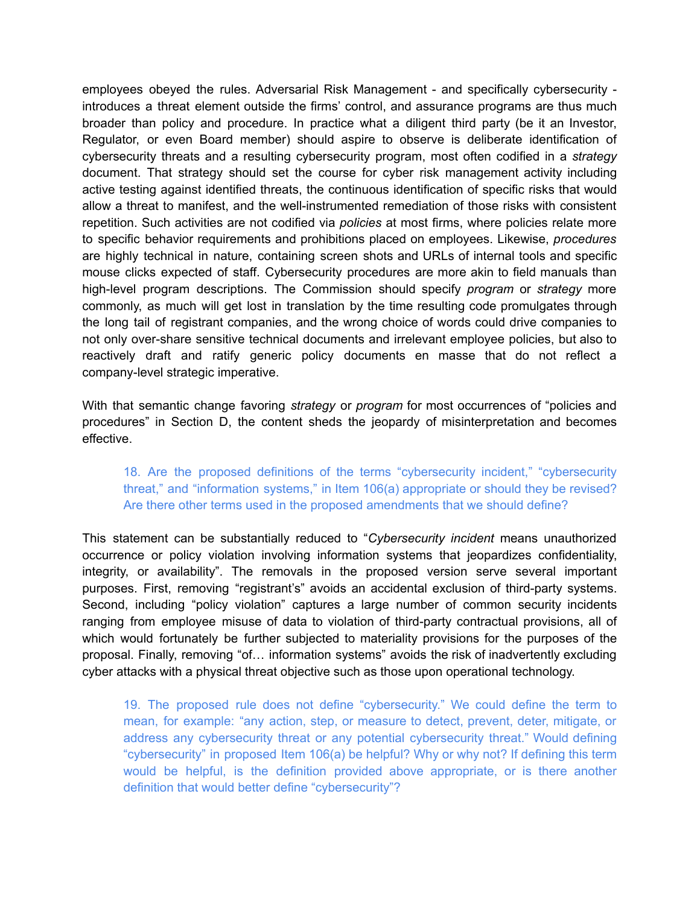employees obeyed the rules. Adversarial Risk Management - and specifically cybersecurity introduces a threat element outside the firms' control, and assurance programs are thus much broader than policy and procedure. In practice what a diligent third party (be it an Investor, Regulator, or even Board member) should aspire to observe is deliberate identification of cybersecurity threats and a resulting cybersecurity program, most often codified in a *strategy* document. That strategy should set the course for cyber risk management activity including active testing against identified threats, the continuous identification of specific risks that would allow a threat to manifest, and the well-instrumented remediation of those risks with consistent repetition. Such activities are not codified via *policies* at most firms, where policies relate more to specific behavior requirements and prohibitions placed on employees. Likewise, *procedures* are highly technical in nature, containing screen shots and URLs of internal tools and specific mouse clicks expected of staff. Cybersecurity procedures are more akin to field manuals than high-level program descriptions. The Commission should specify *program* or *strategy* more commonly, as much will get lost in translation by the time resulting code promulgates through the long tail of registrant companies, and the wrong choice of words could drive companies to not only over-share sensitive technical documents and irrelevant employee policies, but also to reactively draft and ratify generic policy documents en masse that do not reflect a company-level strategic imperative.

With that semantic change favoring *strategy* or *program* for most occurrences of "policies and procedures" in Section D, the content sheds the jeopardy of misinterpretation and becomes effective.

## 18. Are the proposed definitions of the terms "cybersecurity incident," "cybersecurity threat," and "information systems," in Item 106(a) appropriate or should they be revised? Are there other terms used in the proposed amendments that we should define?

This statement can be substantially reduced to "*Cybersecurity incident* means unauthorized occurrence or policy violation involving information systems that jeopardizes confidentiality, integrity, or availability". The removals in the proposed version serve several important purposes. First, removing "registrant's" avoids an accidental exclusion of third-party systems. Second, including "policy violation" captures a large number of common security incidents ranging from employee misuse of data to violation of third-party contractual provisions, all of which would fortunately be further subjected to materiality provisions for the purposes of the proposal. Finally, removing "of… information systems" avoids the risk of inadvertently excluding cyber attacks with a physical threat objective such as those upon operational technology.

19. The proposed rule does not define "cybersecurity." We could define the term to mean, for example: "any action, step, or measure to detect, prevent, deter, mitigate, or address any cybersecurity threat or any potential cybersecurity threat." Would defining "cybersecurity" in proposed Item 106(a) be helpful? Why or why not? If defining this term would be helpful, is the definition provided above appropriate, or is there another definition that would better define "cybersecurity"?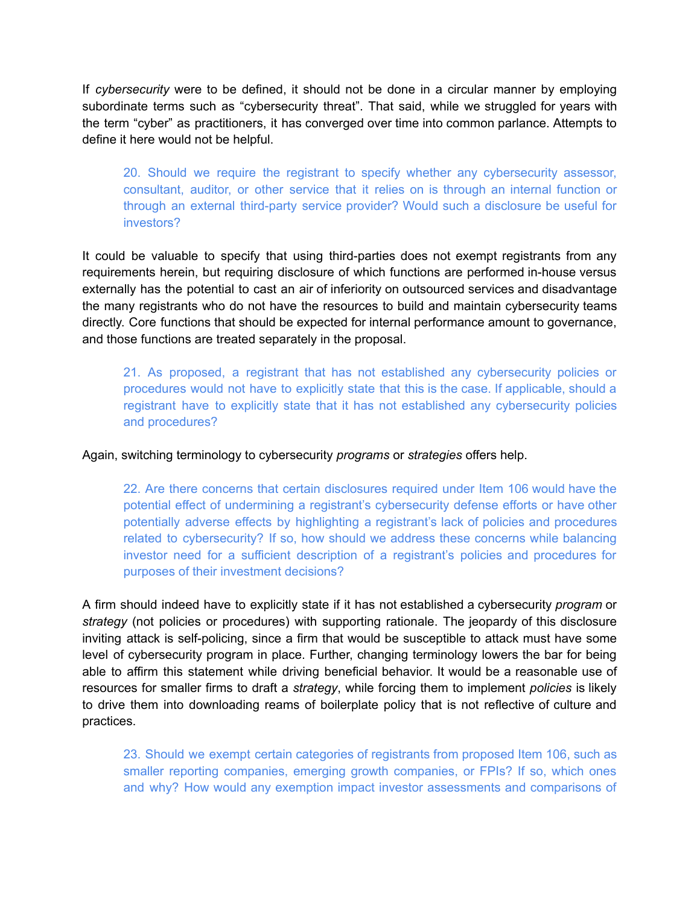If *cybersecurity* were to be defined, it should not be done in a circular manner by employing subordinate terms such as "cybersecurity threat". That said, while we struggled for years with the term "cyber" as practitioners, it has converged over time into common parlance. Attempts to define it here would not be helpful.

20. Should we require the registrant to specify whether any cybersecurity assessor, consultant, auditor, or other service that it relies on is through an internal function or through an external third-party service provider? Would such a disclosure be useful for investors?

It could be valuable to specify that using third-parties does not exempt registrants from any requirements herein, but requiring disclosure of which functions are performed in-house versus externally has the potential to cast an air of inferiority on outsourced services and disadvantage the many registrants who do not have the resources to build and maintain cybersecurity teams directly. Core functions that should be expected for internal performance amount to governance, and those functions are treated separately in the proposal.

21. As proposed, a registrant that has not established any cybersecurity policies or procedures would not have to explicitly state that this is the case. If applicable, should a registrant have to explicitly state that it has not established any cybersecurity policies and procedures?

Again, switching terminology to cybersecurity *programs* or *strategies* offers help.

22. Are there concerns that certain disclosures required under Item 106 would have the potential effect of undermining a registrant's cybersecurity defense efforts or have other potentially adverse effects by highlighting a registrant's lack of policies and procedures related to cybersecurity? If so, how should we address these concerns while balancing investor need for a sufficient description of a registrant's policies and procedures for purposes of their investment decisions?

A firm should indeed have to explicitly state if it has not established a cybersecurity *program* or *strategy* (not policies or procedures) with supporting rationale. The jeopardy of this disclosure inviting attack is self-policing, since a firm that would be susceptible to attack must have some level of cybersecurity program in place. Further, changing terminology lowers the bar for being able to affirm this statement while driving beneficial behavior. It would be a reasonable use of resources for smaller firms to draft a *strategy*, while forcing them to implement *policies* is likely to drive them into downloading reams of boilerplate policy that is not reflective of culture and practices.

23. Should we exempt certain categories of registrants from proposed Item 106, such as smaller reporting companies, emerging growth companies, or FPIs? If so, which ones and why? How would any exemption impact investor assessments and comparisons of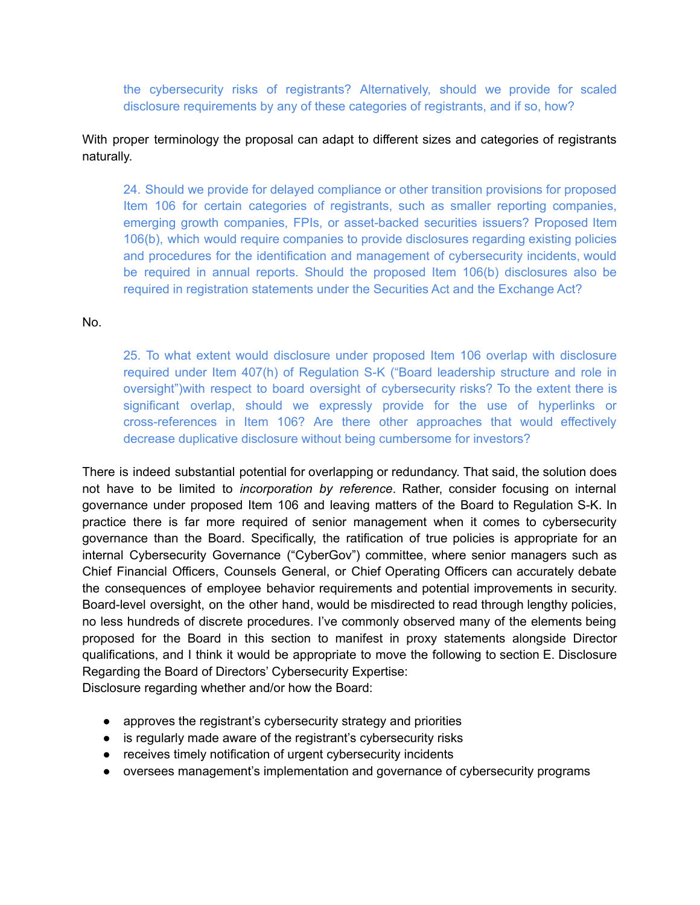the cybersecurity risks of registrants? Alternatively, should we provide for scaled disclosure requirements by any of these categories of registrants, and if so, how?

# With proper terminology the proposal can adapt to different sizes and categories of registrants naturally.

24. Should we provide for delayed compliance or other transition provisions for proposed Item 106 for certain categories of registrants, such as smaller reporting companies, emerging growth companies, FPIs, or asset-backed securities issuers? Proposed Item 106(b), which would require companies to provide disclosures regarding existing policies and procedures for the identification and management of cybersecurity incidents, would be required in annual reports. Should the proposed Item 106(b) disclosures also be required in registration statements under the Securities Act and the Exchange Act?

No.

25. To what extent would disclosure under proposed Item 106 overlap with disclosure required under Item 407(h) of Regulation S-K ("Board leadership structure and role in oversight")with respect to board oversight of cybersecurity risks? To the extent there is significant overlap, should we expressly provide for the use of hyperlinks or cross-references in Item 106? Are there other approaches that would effectively decrease duplicative disclosure without being cumbersome for investors?

There is indeed substantial potential for overlapping or redundancy. That said, the solution does not have to be limited to *incorporation by reference*. Rather, consider focusing on internal governance under proposed Item 106 and leaving matters of the Board to Regulation S-K. In practice there is far more required of senior management when it comes to cybersecurity governance than the Board. Specifically, the ratification of true policies is appropriate for an internal Cybersecurity Governance ("CyberGov") committee, where senior managers such as Chief Financial Officers, Counsels General, or Chief Operating Officers can accurately debate the consequences of employee behavior requirements and potential improvements in security. Board-level oversight, on the other hand, would be misdirected to read through lengthy policies, no less hundreds of discrete procedures. I've commonly observed many of the elements being proposed for the Board in this section to manifest in proxy statements alongside Director qualifications, and I think it would be appropriate to move the following to section E. Disclosure Regarding the Board of Directors' Cybersecurity Expertise:

Disclosure regarding whether and/or how the Board:

- approves the registrant's cybersecurity strategy and priorities
- is regularly made aware of the registrant's cybersecurity risks
- receives timely notification of urgent cybersecurity incidents
- oversees management's implementation and governance of cybersecurity programs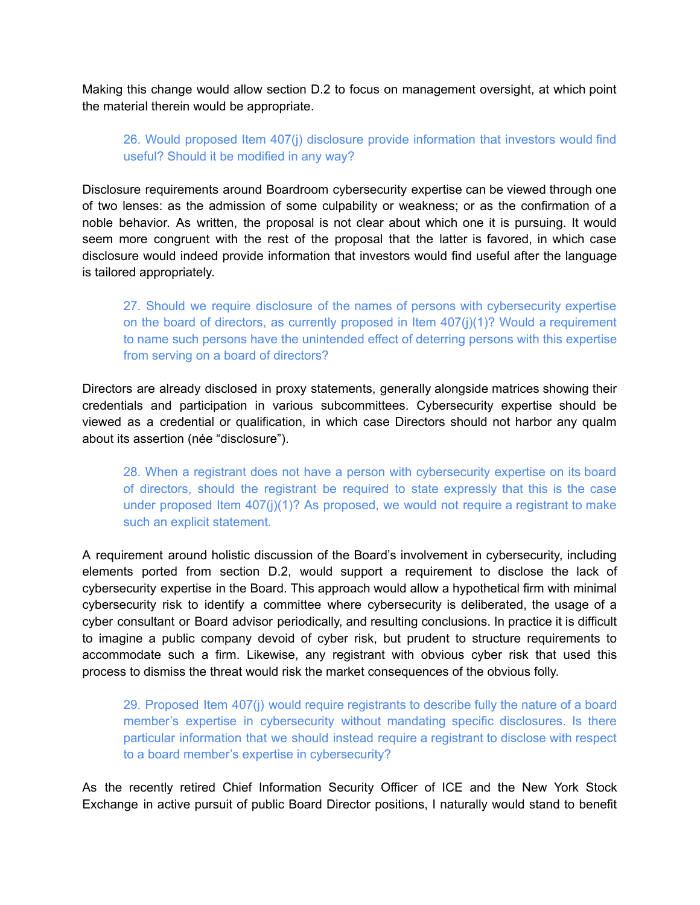Making this change would allow section D.2 to focus on management oversight, at which point the material therein would be appropriate.

# 26. Would proposed Item 407(j) disclosure provide information that investors would find useful? Should it be modified in any way?

Disclosure requirements around Boardroom cybersecurity expertise can be viewed through one of two lenses: as the admission of some culpability or weakness; or as the confirmation of a noble behavior. As written, the proposal is not clear about which one it is pursuing. It would seem more congruent with the rest of the proposal that the latter is favored, in which case disclosure would indeed provide information that investors would find useful after the language is tailored appropriately.

27. Should we require disclosure of the names of persons with cybersecurity expertise on the board of directors, as currently proposed in Item  $407(i)(1)$ ? Would a requirement to name such persons have the unintended effect of deterring persons with this expertise from serving on a board of directors?

Directors are already disclosed in proxy statements, generally alongside matrices showing their credentials and participation in various subcommittees. Cybersecurity expertise should be viewed as a credential or qualification, in which case Directors should not harbor any qualm about its assertion (née "disclosure").

28. When a registrant does not have a person with cybersecurity expertise on its board of directors, should the registrant be required to state expressly that this is the case under proposed Item  $407(j)(1)$ ? As proposed, we would not require a registrant to make such an explicit statement.

A requirement around holistic discussion of the Board's involvement in cybersecurity, including elements ported from section D.2, would support a requirement to disclose the lack of cybersecurity expertise in the Board. This approach would allow a hypothetical firm with minimal cybersecurity risk to identify a committee where cybersecurity is deliberated, the usage of a cyber consultant or Board advisor periodically, and resulting conclusions. In practice it is difficult to imagine a public company devoid of cyber risk, but prudent to structure requirements to accommodate such a firm. Likewise, any registrant with obvious cyber risk that used this process to dismiss the threat would risk the market consequences of the obvious folly.

29. Proposed Item 407(j) would require registrants to describe fully the nature of a board member's expertise in cybersecurity without mandating specific disclosures. Is there particular information that we should instead require a registrant to disclose with respect to a board member's expertise in cybersecurity?

As the recently retired Chief Information Security Officer of ICE and the New York Stock Exchange in active pursuit of public Board Director positions, I naturally would stand to benefit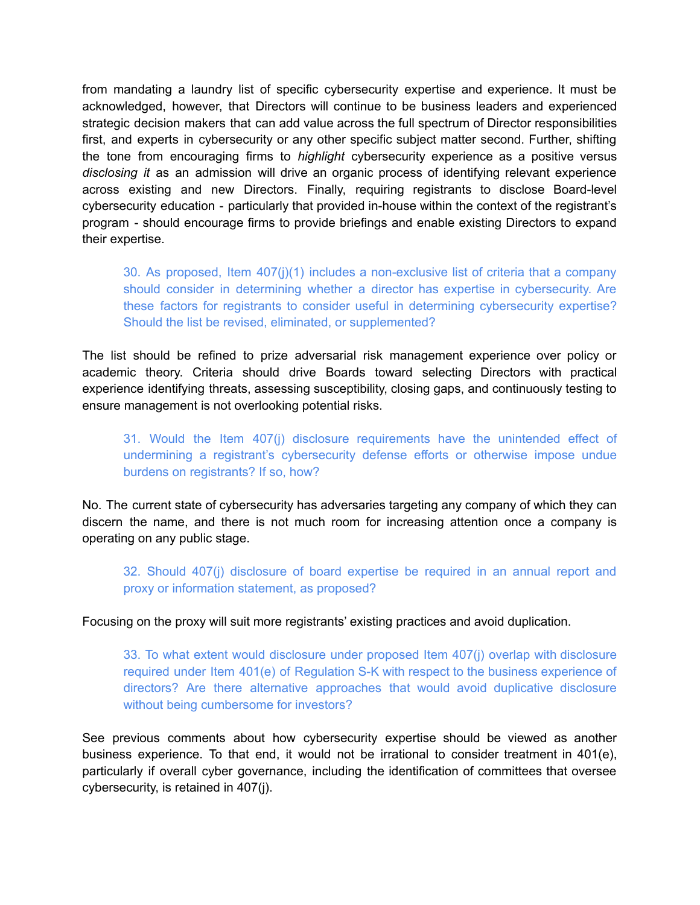from mandating a laundry list of specific cybersecurity expertise and experience. It must be acknowledged, however, that Directors will continue to be business leaders and experienced strategic decision makers that can add value across the full spectrum of Director responsibilities first, and experts in cybersecurity or any other specific subject matter second. Further, shifting the tone from encouraging firms to *highlight* cybersecurity experience as a positive versus *disclosing it* as an admission will drive an organic process of identifying relevant experience across existing and new Directors. Finally, requiring registrants to disclose Board-level cybersecurity education - particularly that provided in-house within the context of the registrant's program - should encourage firms to provide briefings and enable existing Directors to expand their expertise.

30. As proposed, Item 407(j)(1) includes a non-exclusive list of criteria that a company should consider in determining whether a director has expertise in cybersecurity. Are these factors for registrants to consider useful in determining cybersecurity expertise? Should the list be revised, eliminated, or supplemented?

The list should be refined to prize adversarial risk management experience over policy or academic theory. Criteria should drive Boards toward selecting Directors with practical experience identifying threats, assessing susceptibility, closing gaps, and continuously testing to ensure management is not overlooking potential risks.

31. Would the Item 407(j) disclosure requirements have the unintended effect of undermining a registrant's cybersecurity defense efforts or otherwise impose undue burdens on registrants? If so, how?

No. The current state of cybersecurity has adversaries targeting any company of which they can discern the name, and there is not much room for increasing attention once a company is operating on any public stage.

32. Should 407(j) disclosure of board expertise be required in an annual report and proxy or information statement, as proposed?

Focusing on the proxy will suit more registrants' existing practices and avoid duplication.

33. To what extent would disclosure under proposed Item 407(j) overlap with disclosure required under Item 401(e) of Regulation S-K with respect to the business experience of directors? Are there alternative approaches that would avoid duplicative disclosure without being cumbersome for investors?

See previous comments about how cybersecurity expertise should be viewed as another business experience. To that end, it would not be irrational to consider treatment in 401(e), particularly if overall cyber governance, including the identification of committees that oversee cybersecurity, is retained in 407(j).